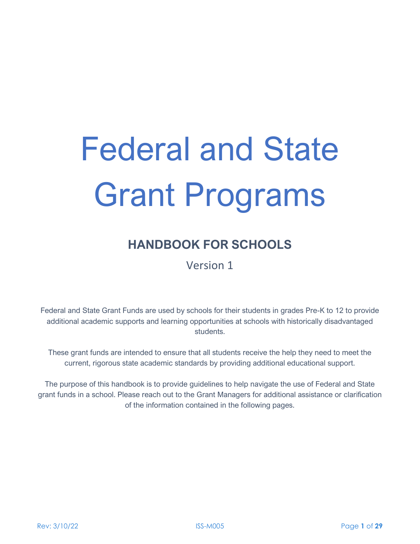# Federal and State Grant Programs

# **HANDBOOK FOR SCHOOLS**

Version 1

Federal and State Grant Funds are used by schools for their students in grades Pre-K to 12 to provide additional academic supports and learning opportunities at schools with historically disadvantaged students.

These grant funds are intended to ensure that all students receive the help they need to meet the current, rigorous state academic standards by providing additional educational support.

The purpose of this handbook is to provide guidelines to help navigate the use of Federal and State grant funds in a school. Please reach out to the Grant Managers for additional assistance or clarification of the information contained in the following pages.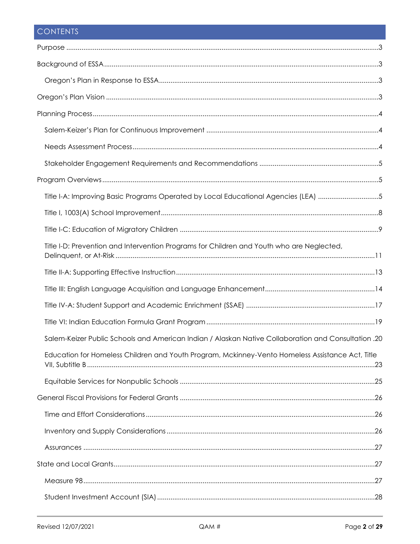# CONTENTS

| Title I-A: Improving Basic Programs Operated by Local Educational Agencies (LEA) 5                  |  |
|-----------------------------------------------------------------------------------------------------|--|
|                                                                                                     |  |
|                                                                                                     |  |
| Title I-D: Prevention and Intervention Programs for Children and Youth who are Neglected,           |  |
|                                                                                                     |  |
|                                                                                                     |  |
|                                                                                                     |  |
|                                                                                                     |  |
| 20. Salem-Keizer Public Schools and American Indian / Alaskan Native Collaboration and Consultation |  |
| Education for Homeless Children and Youth Program, Mckinney-Vento Homeless Assistance Act, Title    |  |
|                                                                                                     |  |
|                                                                                                     |  |
|                                                                                                     |  |
|                                                                                                     |  |
|                                                                                                     |  |
|                                                                                                     |  |
|                                                                                                     |  |
|                                                                                                     |  |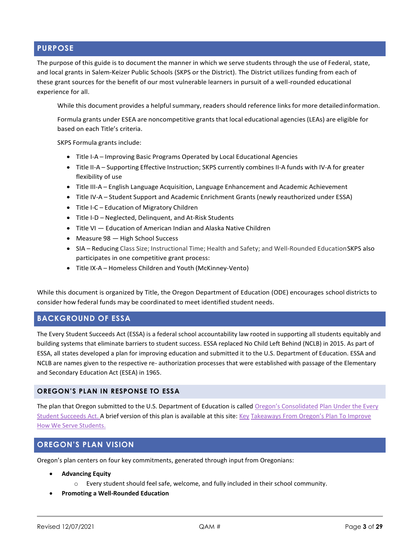#### <span id="page-2-0"></span>**PURPOSE**

The purpose of this guide is to document the manner in which we serve students through the use of Federal, state, and local grants in Salem-Keizer Public Schools (SKPS or the District). The District utilizes funding from each of these grant sources for the benefit of our most vulnerable learners in pursuit of a well-rounded educational experience for all.

While this document provides a helpful summary, readers should reference links for more detailedinformation.

Formula grants under ESEA are noncompetitive grants that local educational agencies (LEAs) are eligible for based on each Title's criteria.

SKPS Formula grants include:

- Title I-A Improving Basic Programs Operated by Local Educational Agencies
- Title II-A Supporting Effective Instruction; SKPS currently combines II-A funds with IV-A for greater flexibility of use
- Title III-A English Language Acquisition, Language Enhancement and Academic Achievement
- Title IV-A Student Support and Academic Enrichment Grants (newly reauthorized under ESSA)
- Title I-C Education of Migratory Children
- Title I-D Neglected, Delinquent, and At-Risk Students
- Title VI Education of American Indian and Alaska Native Children
- Measure 98 High School Success
- SIA Reducing Class Size; Instructional Time; Health and Safety; and Well-Rounded EducationSKPS also participates in one competitive grant process:
- Title IX-A Homeless Children and Youth (McKinney-Vento)

While this document is organized by Title, the Oregon Department of Education (ODE) encourages school districts to consider how federal funds may be coordinated to meet identified student needs.

#### <span id="page-2-1"></span>**BACKGROUND OF ESSA**

The Every Student Succeeds Act (ESSA) is a federal school accountability law rooted in supporting all students equitably and building systems that eliminate barriers to student success. ESSA replaced No Child Left Behind (NCLB) in 2015. As part of ESSA, all states developed a plan for improving education and submitted it to the U.S. Department of Education. ESSA and NCLB are names given to the respective re- authorization processes that were established with passage of the Elementary and Secondary Education Act (ESEA) in 1965.

#### <span id="page-2-2"></span>**OREGON'S PLAN IN RESPONSE TO ESSA**

The plan that Oregon submitted to the U.S. Department of Education is called [Oregon's Consolidated](https://www.oregon.gov/ode/rules-and-policies/ESSA/Documents/APPROVED%20OR_ConsolidatedStateplan8-30-17.pdf) Plan Under the Every [Student Succeeds Act. A](https://www.oregon.gov/ode/rules-and-policies/ESSA/Documents/APPROVED%20OR_ConsolidatedStateplan8-30-17.pdf) brief version of this plan is available at this site[: Key](https://www.oregon.gov/ode/rules-and-policies/ESSA/Documents/OregonPlan1-pager.pdf) [Takeaways From Oregon's Plan To Improve](https://www.oregon.gov/ode/rules-and-policies/ESSA/Documents/OregonPlan1-pager.pdf)  [How We Serve Students.](https://www.oregon.gov/ode/rules-and-policies/ESSA/Documents/OregonPlan1-pager.pdf)

#### <span id="page-2-3"></span>**OREGON'S PLAN VISION**

Oregon's plan centers on four key commitments, generated through input from Oregonians:

- **Advancing Equity**
	- o Every student should feel safe, welcome, and fully included in their school community.
- **Promoting a Well-Rounded Education**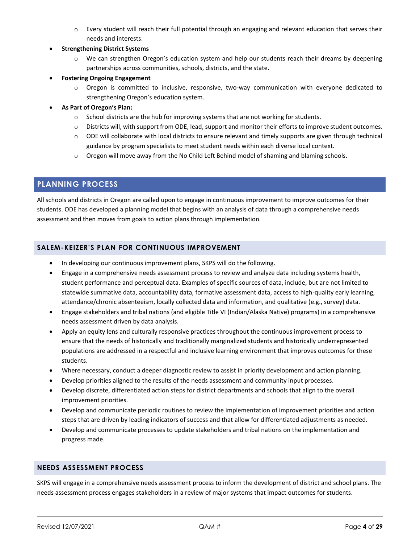- $\circ$  Every student will reach their full potential through an engaging and relevant education that serves their needs and interests.
- **Strengthening District Systems**
	- o We can strengthen Oregon's education system and help our students reach their dreams by deepening partnerships across communities, schools, districts, and the state.
- **Fostering Ongoing Engagement**
	- o Oregon is committed to inclusive, responsive, two-way communication with everyone dedicated to strengthening Oregon's education system.
- **As Part of Oregon's Plan:**
	- o School districts are the hub for improving systems that are not working for students.
	- o Districts will, with support from ODE, lead, support and monitor their efforts to improve student outcomes.
	- o ODE will collaborate with local districts to ensure relevant and timely supports are given through technical guidance by program specialists to meet student needs within each diverse local context.
	- o Oregon will move away from the No Child Left Behind model of shaming and blaming schools.

# <span id="page-3-0"></span>**PLANNING PROCESS**

All schools and districts in Oregon are called upon to engage in continuous improvement to improve outcomes for their students. ODE has developed a planning model that begins with an analysis of data through a comprehensive needs assessment and then moves from goals to action plans through implementation.

# <span id="page-3-1"></span>**SALEM-KEIZER'S PLAN FOR CONTINUOUS IMPROVEMENT**

- In developing our continuous improvement plans, SKPS will do the following.
- Engage in a comprehensive needs assessment process to review and analyze data including systems health, student performance and perceptual data. Examples of specific sources of data, include, but are not limited to statewide summative data, accountability data, formative assessment data, access to high-quality early learning, attendance/chronic absenteeism, locally collected data and information, and qualitative (e.g., survey) data.
- Engage stakeholders and tribal nations (and eligible Title VI (Indian/Alaska Native) programs) in a comprehensive needs assessment driven by data analysis.
- Apply an equity lens and culturally responsive practices throughout the continuous improvement process to ensure that the needs of historically and traditionally marginalized students and historically underrepresented populations are addressed in a respectful and inclusive learning environment that improves outcomes for these students.
- Where necessary, conduct a deeper diagnostic review to assist in priority development and action planning.
- Develop priorities aligned to the results of the needs assessment and community input processes.
- Develop discrete, differentiated action steps for district departments and schools that align to the overall improvement priorities.
- Develop and communicate periodic routines to review the implementation of improvement priorities and action steps that are driven by leading indicators of success and that allow for differentiated adjustments as needed.
- Develop and communicate processes to update stakeholders and tribal nations on the implementation and progress made.

#### <span id="page-3-2"></span>**NEEDS ASSESSMENT PROCESS**

SKPS will engage in a comprehensive needs assessment process to inform the development of district and school plans. The needs assessment process engages stakeholders in a review of major systems that impact outcomes for students.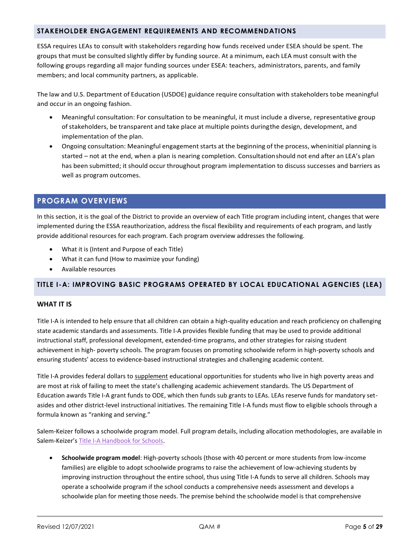#### <span id="page-4-0"></span>**STAKEHOLDER ENGAGEMENT REQUIREMENTS AND RECOMMENDATIONS**

ESSA requires LEAs to consult with stakeholders regarding how funds received under ESEA should be spent. The groups that must be consulted slightly differ by funding source. At a minimum, each LEA must consult with the following groups regarding all major funding sources under ESEA: teachers, administrators, parents, and family members; and local community partners, as applicable.

The law and U.S. Department of Education (USDOE) guidance require consultation with stakeholders tobe meaningful and occur in an ongoing fashion.

- Meaningful consultation: For consultation to be meaningful, it must include a diverse, representative group ofstakeholders, be transparent and take place at multiple points duringthe design, development, and implementation of the plan.
- Ongoing consultation: Meaningful engagement starts at the beginning of the process, wheninitial planning is started – not at the end, when a plan is nearing completion. Consultationshould not end after an LEA's plan has been submitted; it should occur throughout program implementation to discuss successes and barriers as well as program outcomes.

# <span id="page-4-1"></span>**PROGRAM OVERVIEWS**

In this section, it is the goal of the District to provide an overview of each Title program including intent, changes that were implemented during the ESSA reauthorization, address the fiscal flexibility and requirements of each program, and lastly provide additional resources for each program. Each program overview addresses the following.

- What it is (Intent and Purpose of each Title)
- What it can fund (How to maximize your funding)
- Available resources

#### <span id="page-4-2"></span>**TITLE I-A: IMPROVING BASIC PROGRAMS OPERATED BY LOCAL EDUCATIONAL AGENCIES (LEA)**

#### **WHAT IT IS**

Title I-A is intended to help ensure that all children can obtain a high-quality education and reach proficiency on challenging state academic standards and assessments. Title I-A provides flexible funding that may be used to provide additional instructional staff, professional development, extended-time programs, and other strategies for raising student achievement in high- poverty schools. The program focuses on promoting schoolwide reform in high-poverty schools and ensuring students' access to evidence-based instructional strategies and challenging academic content.

Title I-A provides federal dollars to supplement educational opportunities for students who live in high poverty areas and are most at risk of failing to meet the state's challenging academic achievement standards. The US Department of Education awards Title I-A grant funds to ODE, which then funds sub grants to LEAs. LEAs reserve funds for mandatory setasides and other district-level instructional initiatives. The remaining Title I-A funds must flow to eligible schools through a formula known as "ranking and serving."

Salem-Keizer follows a schoolwide program model. Full program details, including allocation methodologies, are available in Salem-Keizer's [Title I-A Handbook for Schools.](https://salkeiz.sharepoint.com/qam/QAMDocuments/ISS-M004-Title%20I-A%20Handbook%20for%20Schools.pdf#search=title%20I%2DA)

• **Schoolwide program model**: High-poverty schools (those with 40 percent or more students from low-income families) are eligible to adopt schoolwide programs to raise the achievement of low-achieving students by improving instruction throughout the entire school, thus using Title I-A funds to serve all children. Schools may operate a schoolwide program if the school conducts a comprehensive needs assessment and develops a schoolwide plan for meeting those needs. The premise behind the schoolwide model is that comprehensive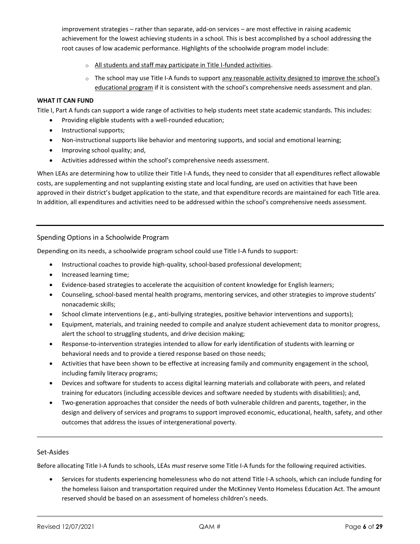improvement strategies – rather than separate, add-on services – are most effective in raising academic achievement for the lowest achieving students in a school. This is best accomplished by a school addressing the root causes of low academic performance. Highlights of the schoolwide program model include:

- o All students and staff may participate in Title I-funded activities.
- $\circ$  The school may use Title I-A funds to support any reasonable activity designed to improve the school's educational program if it is consistent with the school's comprehensive needs assessment and plan.

#### **WHAT IT CAN FUND**

Title I, Part A funds can support a wide range of activities to help students meet state academic standards. This includes:

- Providing eligible students with a well-rounded education;
- Instructional supports;
- Non-instructional supports like behavior and mentoring supports, and social and emotional learning;
- Improving school quality; and,
- Activities addressed within the school's comprehensive needs assessment.

When LEAs are determining how to utilize their Title I-A funds, they need to consider that all expenditures reflect allowable costs, are supplementing and not supplanting existing state and local funding, are used on activities that have been approved in their district's budget application to the state, and that expenditure records are maintained for each Title area. In addition, all expenditures and activities need to be addressed within the school's comprehensive needs assessment.

#### Spending Options in a Schoolwide Program

Depending on its needs, a schoolwide program school could use Title I-A funds to support:

- Instructional coaches to provide high-quality, school-based professional development;
- Increased learning time;
- Evidence-based strategies to accelerate the acquisition of content knowledge for English learners;
- Counseling, school-based mental health programs, mentoring services, and other strategies to improve students' nonacademic skills;
- School climate interventions (e.g., anti-bullying strategies, positive behavior interventions and supports);
- Equipment, materials, and training needed to compile and analyze student achievement data to monitor progress, alert the school to struggling students, and drive decision making;
- Response-to-intervention strategies intended to allow for early identification of students with learning or behavioral needs and to provide a tiered response based on those needs;
- Activities that have been shown to be effective at increasing family and community engagement in the school, including family literacy programs;
- Devices and software for students to access digital learning materials and collaborate with peers, and related training for educators (including accessible devices and software needed by students with disabilities); and,
- Two-generation approaches that consider the needs of both vulnerable children and parents, together, in the design and delivery of services and programs to support improved economic, educational, health, safety, and other outcomes that address the issues of intergenerational poverty.

#### Set-Asides

Before allocating Title I-A funds to schools, LEAs *must* reserve some Title I-A funds for the following required activities.

• Services for students experiencing homelessness who do not attend Title I-A schools, which can include funding for the homeless liaison and transportation required under the McKinney Vento Homeless Education Act. The amount reserved should be based on an assessment of homeless children's needs.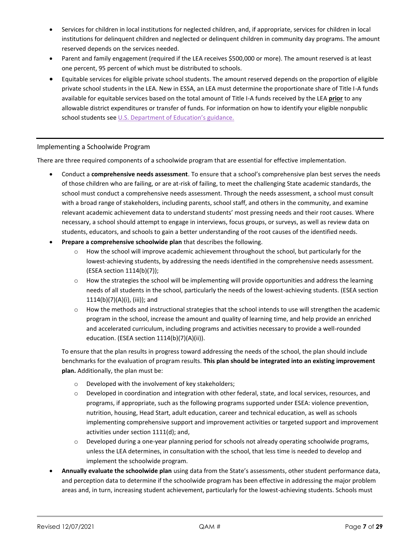- Services for children in local institutions for neglected children, and, if appropriate, services for children in local institutions for delinquent children and neglected or delinquent children in community day programs. The amount reserved depends on the services needed.
- Parent and family engagement (required if the LEA receives \$500,000 or more). The amount reserved is at least one percent, 95 percent of which must be distributed to schools.
- Equitable services for eligible private school students. The amount reserved depends on the proportion of eligible private school students in the LEA. New in ESSA, an LEA must determine the proportionate share of Title I-A funds available for equitable services based on the total amount of Title I-A funds received by the LEA **prior** to any allowable district expenditures or transfer of funds. For information on how to identify your eligible nonpublic school students see U.S. Departmen[t of Education's guidance](https://www2.ed.gov/policy/elsec/leg/essa/essaguidance160477.pdf)[.](http://www.state.nj.us/education/title1/leg/policy/equitable.shtml)

#### Implementing a Schoolwide Program

There are three required components of a schoolwide program that are essential for effective implementation.

- Conduct a **comprehensive needs assessment**. To ensure that a school's comprehensive plan best serves the needs of those children who are failing, or are at-risk of failing, to meet the challenging State academic standards, the school must conduct a comprehensive needs assessment. Through the needs assessment, a school must consult with a broad range of stakeholders, including parents, school staff, and others in the community, and examine relevant academic achievement data to understand students' most pressing needs and their root causes. Where necessary, a school should attempt to engage in interviews, focus groups, or surveys, as well as review data on students, educators, and schools to gain a better understanding of the root causes of the identified needs.
- **Prepare a comprehensive schoolwide plan** that describes the following.
	- $\circ$  How the school will improve academic achievement throughout the school, but particularly for the lowest-achieving students, by addressing the needs identified in the comprehensive needs assessment. (ESEA section 1114(b)(7));
	- $\circ$  How the strategies the school will be implementing will provide opportunities and address the learning needs of all students in the school, particularly the needs of the lowest-achieving students. (ESEA section 1114(b)(7)(A)(i), (iii)); and
	- $\circ$  How the methods and instructional strategies that the school intends to use will strengthen the academic program in the school, increase the amount and quality of learning time, and help provide an enriched and accelerated curriculum, including programs and activities necessary to provide a well-rounded education. (ESEA section 1114(b)(7)(A)(ii)).

To ensure that the plan results in progress toward addressing the needs of the school, the plan should include benchmarks for the evaluation of program results. **This plan should be integrated into an existing improvement plan.** Additionally, the plan must be:

- o Developed with the involvement of key stakeholders;
- o Developed in coordination and integration with other federal, state, and local services, resources, and programs, if appropriate, such as the following programs supported under ESEA: violence prevention, nutrition, housing, Head Start, adult education, career and technical education, as well as schools implementing comprehensive support and improvement activities or targeted support and improvement activities under section 1111(d); and,
- o Developed during a one-year planning period for schools not already operating schoolwide programs, unless the LEA determines, in consultation with the school, that less time is needed to develop and implement the schoolwide program.
- **Annually evaluate the schoolwide plan** using data from the State's assessments, other student performance data, and perception data to determine if the schoolwide program has been effective in addressing the major problem areas and, in turn, increasing student achievement, particularly for the lowest-achieving students. Schools must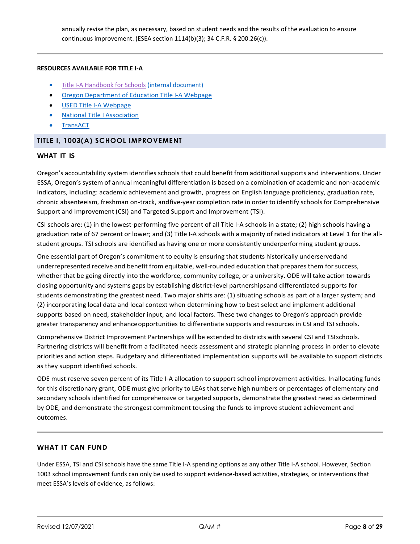annually revise the plan, as necessary, based on student needs and the results of the evaluation to ensure continuous improvement. (ESEA section 1114(b)(3); 34 C.F.R. § 200.26(c)).

#### **RESOURCES AVAILABLE FOR TITLE I-A**

- [Title I-A Handbook for Schools](https://salkeiz.sharepoint.com/qam/QAMDocuments/ISS-M004-Title%20I-A%20Handbook%20for%20Schools.pdf#search=title%20I%2DA) (internal document)
- Oregon [Department](http://www.oregon.gov/ode/schools-and-districts/grants/ESEA/IA/Pages/default.aspx) of Education Title I-A Webpage
- USED Title I-A [Webpage](https://www2.ed.gov/programs/titleiparta/index.html)
- National Title I [Association](http://www.titlei.org/)
- **[TransACT](http://www.transact.com/)**

#### <span id="page-7-0"></span>**TITLE I, 1003(A) SCHOOL IMPROVEMENT**

#### **WHAT IT IS**

Oregon's accountability system identifies schools that could benefit from additional supports and interventions. Under ESSA, Oregon's system of annual meaningful differentiation is based on a combination of academic and non-academic indicators, including: academic achievement and growth, progress on English language proficiency, graduation rate, chronic absenteeism, freshman on-track, andfive-year completion rate in order to identify schools for Comprehensive Support and Improvement (CSI) and Targeted Support and Improvement (TSI).

CSI schools are: (1) in the lowest-performing five percent of all Title I-A schools in a state; (2) high schools having a graduation rate of 67 percent or lower; and (3) Title I-A schools with a majority of rated indicators at Level 1 for the allstudent groups. TSI schools are identified as having one or more consistently underperforming student groups.

One essential part of Oregon's commitment to equity is ensuring that students historically underservedand underrepresented receive and benefit from equitable, well-rounded education that prepares them for success, whether that be going directly into the workforce, community college, or a university. ODE will take action towards closing opportunity and systems gaps by establishing district-level partnershipsand differentiated supports for students demonstrating the greatest need. Two major shifts are: (1) situating schools as part of a larger system; and (2) incorporating local data and local context when determining how to best select and implement additional supports based on need, stakeholder input, and local factors. These two changes to Oregon's approach provide greater transparency and enhanceopportunities to differentiate supports and resources in CSI and TSI schools.

Comprehensive District Improvement Partnerships will be extended to districts with several CSI and TSIschools. Partnering districts will benefit from a facilitated needs assessment and strategic planning process in order to elevate priorities and action steps. Budgetary and differentiated implementation supports will be available to support districts as they support identified schools.

ODE must reserve seven percent of its Title I-A allocation to support school improvement activities. Inallocating funds for this discretionary grant, ODE must give priority to LEAs that serve high numbers or percentages of elementary and secondary schools identified for comprehensive or targeted supports, demonstrate the greatest need as determined by ODE, and demonstrate the strongest commitment tousing the funds to improve student achievement and outcomes.

#### **WHAT IT CAN FUND**

Under ESSA, TSI and CSI schools have the same Title I-A spending options as any other Title I-A school. However, Section 1003 school improvement funds can only be used to support evidence-based activities, strategies, or interventions that meet ESSA's levels of evidence, as follows: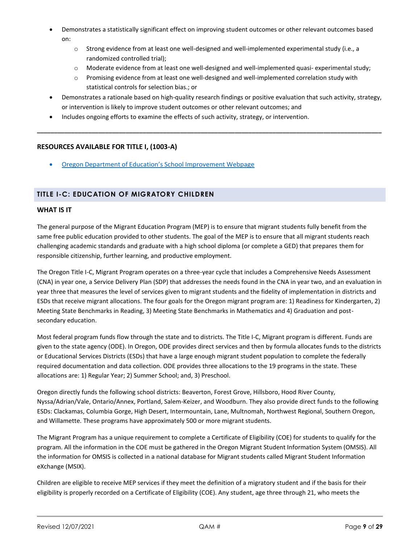- Demonstrates a statistically significant effect on improving student outcomes or other relevant outcomes based on:
	- o Strong evidence from at least one well-designed and well-implemented experimental study (i.e., a randomized controlled trial);
	- o Moderate evidence from at least one well-designed and well-implemented quasi- experimental study;
	- o Promising evidence from at least one well-designed and well-implemented correlation study with statistical controls for selection bias.; or
- Demonstrates a rationale based on high-quality research findings or positive evaluation that such activity, strategy, or intervention is likely to improve student outcomes or other relevant outcomes; and

**\_\_\_\_\_\_\_\_\_\_\_\_\_\_\_\_\_\_\_\_\_\_\_\_\_\_\_\_\_\_\_\_\_\_\_\_\_\_\_\_\_\_\_\_\_\_\_\_\_\_\_\_\_\_\_\_\_\_\_\_\_\_\_\_\_\_\_\_\_\_\_\_\_\_\_\_\_\_\_\_\_\_\_\_\_\_\_\_\_\_\_\_\_\_\_\_\_\_\_\_\_**

• Includes ongoing efforts to examine the effects of such activity, strategy, or intervention.

#### **RESOURCES AVAILABLE FOR TITLE I, (1003-A)**

• Oregon Department of Education's School [Improvement](http://www.oregon.gov/ode/schools-and-districts/grants/ESEA/IA/Pages/School-Improvement.aspx) Webpage

#### <span id="page-8-0"></span>**TITLE I-C: EDUCATION OF MIGRATORY CHILDREN**

#### **WHAT IS IT**

The general purpose of the Migrant Education Program (MEP) is to ensure that migrant students fully benefit from the same free public education provided to other students. The goal of the MEP is to ensure that all migrant students reach challenging academic standards and graduate with a high school diploma (or complete a GED) that prepares them for responsible citizenship, further learning, and productive employment.

The Oregon Title I-C, Migrant Program operates on a three-year cycle that includes a Comprehensive Needs Assessment (CNA) in year one, a Service Delivery Plan (SDP) that addresses the needs found in the CNA in year two, and an evaluation in year three that measures the level of services given to migrant students and the fidelity of implementation in districts and ESDs that receive migrant allocations. The four goals for the Oregon migrant program are: 1) Readiness for Kindergarten, 2) Meeting State Benchmarks in Reading, 3) Meeting State Benchmarks in Mathematics and 4) Graduation and postsecondary education.

Most federal program funds flow through the state and to districts. The Title I-C, Migrant program is different. Funds are given to the state agency (ODE). In Oregon, ODE provides direct services and then by formula allocates funds to the districts or Educational Services Districts (ESDs) that have a large enough migrant student population to complete the federally required documentation and data collection. ODE provides three allocations to the 19 programs in the state. These allocations are: 1) Regular Year; 2) Summer School; and, 3) Preschool.

Oregon directly funds the following school districts: Beaverton, Forest Grove, Hillsboro, Hood River County, Nyssa/Adrian/Vale, Ontario/Annex, Portland, Salem-Keizer, and Woodburn. They also provide direct funds to the following ESDs: Clackamas, Columbia Gorge, High Desert, Intermountain, Lane, Multnomah, Northwest Regional, Southern Oregon, and Willamette. These programs have approximately 500 or more migrant students.

The Migrant Program has a unique requirement to complete a Certificate of Eligibility (COE) for students to qualify for the program. All the information in the COE must be gathered in the Oregon Migrant Student Information System (OMSIS). All the information for OMSIS is collected in a national database for Migrant students called Migrant Student Information eXchange (MSIX).

Children are eligible to receive MEP services if they meet the definition of a migratory student and if the basis for their eligibility is properly recorded on a Certificate of Eligibility (COE). Any student, age three through 21, who meets the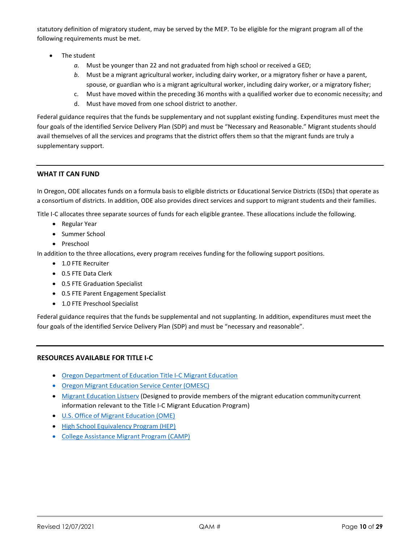statutory definition of migratory student, may be served by the MEP. To be eligible for the migrant program all of the following requirements must be met.

- The student
	- *a.* Must be younger than 22 and not graduated from high school or received a GED;
	- *b.* Must be a migrant agricultural worker, including dairy worker, or a migratory fisher or have a parent, spouse, or guardian who is a migrant agricultural worker, including dairy worker, or a migratory fisher;
	- c. Must have moved within the preceding 36 months with a qualified worker due to economic necessity; and
	- d. Must have moved from one school district to another.

Federal guidance requires that the funds be supplementary and not supplant existing funding. Expenditures must meet the four goals of the identified Service Delivery Plan (SDP) and must be "Necessary and Reasonable." Migrant students should avail themselves of all the services and programs that the district offers them so that the migrant funds are truly a supplementary support.

#### **WHAT IT CAN FUND**

In Oregon, ODE allocates funds on a formula basis to eligible districts or Educational Service Districts (ESDs) that operate as a consortium of districts. In addition, ODE also provides direct services and support to migrant students and their families.

Title I-C allocates three separate sources of funds for each eligible grantee. These allocations include the following.

- Regular Year
- Summer School
- Preschool

In addition to the three allocations, every program receives funding for the following support positions.

- 1.0 FTE Recruiter
- 0.5 FTE Data Clerk
- 0.5 FTE Graduation Specialist
- 0.5 FTE Parent Engagement Specialist
- 1.0 FTE Preschool Specialist

Federal guidance requires that the funds be supplemental and not supplanting. In addition, expenditures must meet the four goals of the identified Service Delivery Plan (SDP) and must be "necessary and reasonable".

#### **RESOURCES AVAILABLE FOR TITLE I-C**

- Oregon [Department](http://www.oregon.gov/ode/schools-and-districts/grants/ESEA/Migrant/Pages/default.aspx) of Education Title I-C Migrant Education
- Oregon Migrant [Education](https://www.wesd.org/omesc) Service Center (OMESC)
- Migrant [Education](http://www.ed.gov/about/offices/list/oese/ome/omelistserv.html) Listserv (Designed to provide members of the migrant education communitycurrent information relevant to the Title I-C Migrant Education Program)
- U.S. Office of Migrant [Education](http://www.ed.gov/programs/mep/index.html) (OME)
- High School [Equivalency](http://www.ed.gov/programs/hep/index.html) Program (HEP)
- College [Assistance](http://www.ed.gov/programs/camp/index.html) Migrant Program (CAMP)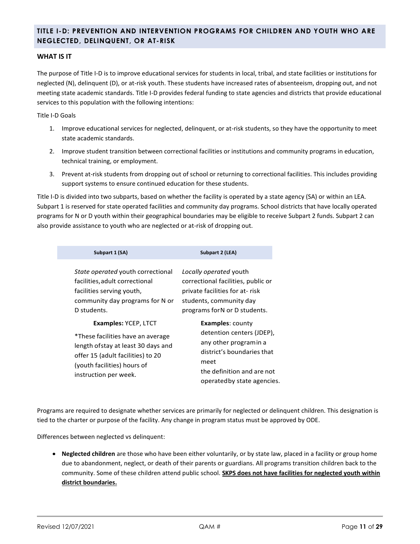### <span id="page-10-0"></span>**TITLE I-D: PREVENTION AND INTERVENTION PROGRAMS FOR CHILDREN AND YOUTH WHO ARE NEGLECTED, DELINQUENT, OR AT-RISK**

#### **WHAT IS IT**

The purpose of Title I-D is to improve educational services for students in local, tribal, and state facilities or institutions for neglected (N), delinquent (D), or at-risk youth. These students have increased rates of absenteeism, dropping out, and not meeting state academic standards. Title I-D provides federal funding to state agencies and districts that provide educational services to this population with the following intentions:

Title I-D Goals

- 1. Improve educational services for neglected, delinquent, or at-risk students, so they have the opportunity to meet state academic standards.
- 2. Improve student transition between correctional facilities or institutions and community programs in education, technical training, or employment.
- 3. Prevent at-risk students from dropping out of school or returning to correctional facilities. This includes providing support systems to ensure continued education for these students.

Title I-D is divided into two subparts, based on whether the facility is operated by a state agency (SA) or within an LEA. Subpart 1 is reserved for state operated facilities and community day programs. School districts that have locally operated programs for N or D youth within their geographical boundaries may be eligible to receive Subpart 2 funds. Subpart 2 can also provide assistance to youth who are neglected or at-risk of dropping out.

| Subpart 1 (SA)                                                                                                                                                                                      | Subpart 2 (LEA)                                                                                                                                                                  |  |  |  |
|-----------------------------------------------------------------------------------------------------------------------------------------------------------------------------------------------------|----------------------------------------------------------------------------------------------------------------------------------------------------------------------------------|--|--|--|
| State operated youth correctional<br>facilities, adult correctional<br>facilities serving youth,<br>community day programs for N or<br>D students.                                                  | Locally operated youth<br>correctional facilities, public or<br>private facilities for at- risk<br>students, community day<br>programs for N or D students.                      |  |  |  |
| <b>Examples: YCEP, LTCT</b><br>*These facilities have an average<br>length ofstay at least 30 days and<br>offer 15 (adult facilities) to 20<br>(youth facilities) hours of<br>instruction per week. | <b>Examples: county</b><br>detention centers (JDEP),<br>any other programin a<br>district's boundaries that<br>meet<br>the definition and are not<br>operated by state agencies. |  |  |  |

Programs are required to designate whether services are primarily for neglected or delinquent children. This designation is tied to the charter or purpose of the facility. Any change in program status must be approved by ODE.

Differences between neglected vs delinquent:

• **Neglected children** are those who have been either voluntarily, or by state law, placed in a facility or group home due to abandonment, neglect, or death of their parents or guardians. All programs transition children back to the community. Some of these children attend public school. **SKPS does not have facilities for neglected youth within district boundaries.**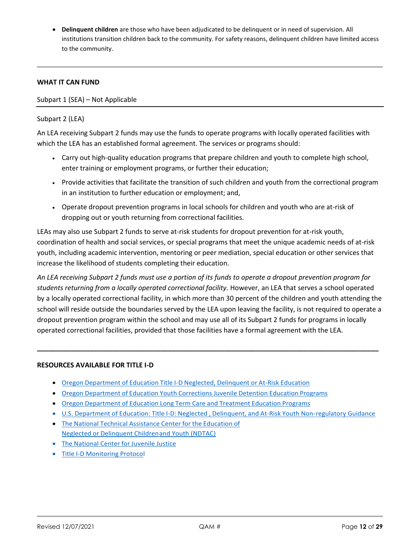• **Delinquent children** are those who have been adjudicated to be delinquent or in need of supervision. All institutions transition children back to the community. For safety reasons, delinquent children have limited access to the community.

#### **WHAT IT CAN FUND**

Subpart 1 (SEA) – Not Applicable

#### Subpart 2 (LEA)

An LEA receiving Subpart 2 funds may use the funds to operate programs with locally operated facilities with which the LEA has an established formal agreement. The services or programs should:

- Carry out high-quality education programs that prepare children and youth to complete high school, enter training or employment programs, or further their education;
- Provide activities that facilitate the transition of such children and youth from the correctional program in an institution to further education or employment; and,
- Operate dropout prevention programs in local schools for children and youth who are at-risk of dropping out or youth returning from correctional facilities.

LEAs may also use Subpart 2 funds to serve at-risk students for dropout prevention for at-risk youth, coordination of health and social services, or special programs that meet the unique academic needs of at-risk youth, including academic intervention, mentoring or peer mediation, special education or other services that increase the likelihood of students completing their education.

*An LEA receiving Subpart 2 funds must use a portion of its funds to operate a dropout prevention program for students returning from a locally operated correctional facility.* However, an LEA that serves a school operated by a locally operated correctional facility, in which more than 30 percent of the children and youth attending the school will reside outside the boundaries served by the LEA upon leaving the facility, is not required to operate a dropout prevention program within the school and may use all of its Subpart 2 funds for programs in locally operated correctional facilities, provided that those facilities have a formal agreement with the LEA.

**\_\_\_\_\_\_\_\_\_\_\_\_\_\_\_\_\_\_\_\_\_\_\_\_\_\_\_\_\_\_\_\_\_\_\_\_\_\_\_\_\_\_\_\_\_\_\_\_\_\_\_\_\_\_\_\_\_\_\_\_\_\_\_\_\_\_\_\_\_\_\_\_\_\_\_\_\_\_\_\_\_\_\_\_\_\_\_\_\_\_\_**

#### **RESOURCES AVAILABLE FOR TITLE I-D**

- Oregon [Department](http://www.oregon.gov/ode/schools-and-districts/grants/ESEA/ID/Pages/default.aspx) of Education Title I-D Neglected, Delinquent or At-Risk Education
- Oregon [Department](http://www.oregon.gov/ode/students-and-family/SpecialEducation/SecondaryTransition/Pages/Youth-Corrections-Juvenile-Detention-Education-Programs.aspx) of Education Youth Corrections Juvenile Detention Education Programs
- Oregon [Department](http://www.oregon.gov/ode/students-and-family/SpecialEducation/SecondaryTransition/Pages/Long-Term-Care-and-Treatment-Education-Programs.aspx) of Education Long Term Care and Treatment Education Programs
- U.S. [Department](http://www.ed.gov/policy/elsec/guid/nord.doc) of Education: Title I-D: Neglected , Delinquent, and At-Risk Youth Non[-regulatory Guidance](http://www.ed.gov/policy/elsec/guid/nord.doc)
- The National Technical [Assistance](http://www.neglected-delinquent.org/what-title-i-part-d) Center for the Education of Neglected or [Delinquent](http://www.neglected-delinquent.org/what-title-i-part-d) Childrenand Youth [\(NDTAC\)](http://www.neglected-delinquent.org/what-title-i-part-d)
- The [National](http://www.ncjj.org/default.aspx) Center for Juvenile Justice
- Title I-D [Monitoring](http://www.oregon.gov/ode/schools-and-districts/grants/ESEA/ID/Pages/Planning.aspx) Protocol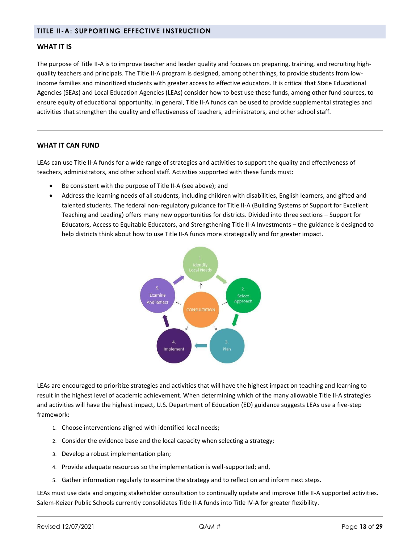#### <span id="page-12-0"></span>**TITLE II-A: SUPPORTING EFFECTIVE INSTRUCTION**

#### **WHAT IT IS**

The purpose of Title II-A is to improve teacher and leader quality and focuses on preparing, training, and recruiting highquality teachers and principals. The Title II-A program is designed, among other things, to provide students from lowincome families and minoritized students with greater access to effective educators. It is critical that State Educational Agencies (SEAs) and Local Education Agencies (LEAs) consider how to best use these funds, among other fund sources, to ensure equity of educational opportunity. In general, Title II-A funds can be used to provide supplemental strategies and activities that strengthen the quality and effectiveness of teachers, administrators, and other school staff.

#### **WHAT IT CAN FUND**

LEAs can use Title II-A funds for a wide range of strategies and activities to support the quality and effectiveness of teachers, administrators, and other school staff. Activities supported with these funds must:

- Be consistent with the purpose of Title II-A (see above); and
- Address the learning needs of all students, including children with disabilities, English learners, and gifted and talented students. The federal non-regulatory guidance for Title II-A (Building Systems of Support for Excellent Teaching and Leading) offers many new opportunities for districts. Divided into three sections – Support for Educators, Access to Equitable Educators, and Strengthening Title II-A Investments – the guidance is designed to help districts think about how to use Title II-A funds more strategically and for greater impact.



LEAs are encouraged to prioritize strategies and activities that will have the highest impact on teaching and learning to result in the highest level of academic achievement. When determining which of the many allowable Title II-A strategies and activities will have the highest impact, U.S. Department of Education (ED) guidance suggests LEAs use a five-step framework:

- 1. Choose interventions aligned with identified local needs;
- 2. Consider the evidence base and the local capacity when selecting a strategy;
- 3. Develop a robust implementation plan;
- 4. Provide adequate resources so the implementation is well-supported; and,
- 5. Gather information regularly to examine the strategy and to reflect on and inform next steps.

LEAs must use data and ongoing stakeholder consultation to continually update and improve Title II-A supported activities. Salem-Keizer Public Schools currently consolidates Title II-A funds into Title IV-A for greater flexibility.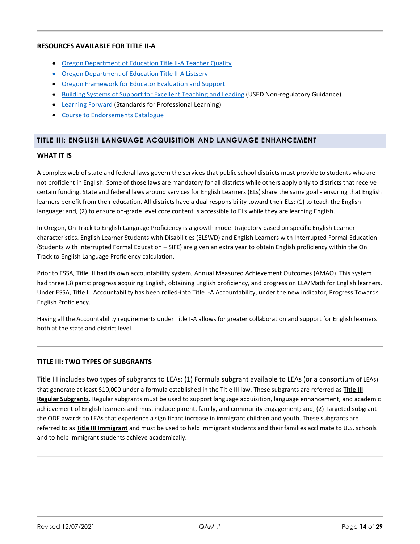#### **RESOURCES AVAILABLE FOR TITLE II-A**

- Oregon [Department](http://www.oregon.gov/ode/schools-and-districts/grants/ESEA/IIA/Pages/default.aspx) of Education Title II-A Teacher Quality
- Oregon [Department](http://listsmart.osl.state.or.us/mailman/listinfo/title_iia_listserv) of Education Title II-A Listserv
- Oregon [Framework](http://www.oregon.gov/ode/educator-resources/educator_effectiveness/Documents/oregon-framework--for-eval-and-support-systems.pdf) for Educator Evaluation and Support
- Building Systems of Support for [Excellent](https://www2.ed.gov/policy/elsec/leg/essa/essatitleiipartaguidance.pdf) Teaching and Leading (USED Non-regulatory Guidance)
- [Learning](https://learningforward.org/) Forward (Standards for Professional Learning)
- Course to [Endorsements](http://www.oregon.gov/ode/educator-resources/Pages/Teacher-Licensure.aspx) Catalogue

#### <span id="page-13-0"></span>**TITLE III: ENGLISH LANGUAGE ACQUISITION AND LANGUAGE ENHANCEMENT**

#### **WHAT IT IS**

A complex web of state and federal laws govern the services that public school districts must provide to students who are not proficient in English. Some of those laws are mandatory for all districts while others apply only to districts that receive certain funding. State and federal laws around services for English Learners (ELs) share the same goal - ensuring that English learners benefit from their education. All districts have a dual responsibility toward their ELs: (1) to teach the English language; and, (2) to ensure on-grade level core content is accessible to ELs while they are learning English.

In Oregon, On Track to English Language Proficiency is a growth model trajectory based on specific English Learner characteristics. English Learner Students with Disabilities (ELSWD) and English Learners with Interrupted Formal Education (Students with Interrupted Formal Education – SIFE) are given an extra year to obtain English proficiency within the On Track to English Language Proficiency calculation.

Prior to ESSA, Title III had its own accountability system, Annual Measured Achievement Outcomes (AMAO). This system had three (3) parts: progress acquiring English, obtaining English proficiency, and progress on ELA/Math for English learners. Under ESSA, Title III Accountability has been rolled-into Title I-A Accountability, under the new indicator, Progress Towards English Proficiency.

Having all the Accountability requirements under Title I-A allows for greater collaboration and support for English learners both at the state and district level.

#### **TITLE III: TWO TYPES OF SUBGRANTS**

Title III includes two types of subgrants to LEAs: (1) Formula subgrant available to LEAs (or a consortium of LEAs) that generate at least \$10,000 under a formula established in the Title III law. These subgrants are referred as **Title III Regular Subgrants**. Regular subgrants must be used to support language acquisition, language enhancement, and academic achievement of English learners and must include parent, family, and community engagement; and, (2) Targeted subgrant the ODE awards to LEAs that experience a significant increase in immigrant children and youth. These subgrants are referred to as **Title III Immigrant** and must be used to help immigrant students and their families acclimate to U.S. schools and to help immigrant students achieve academically.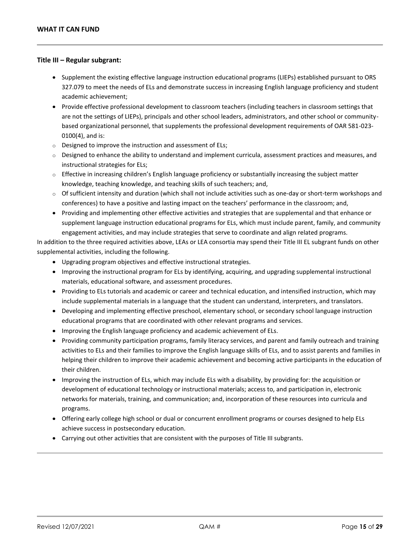#### **Title III – Regular subgrant:**

- Supplement the existing effective language instruction educational programs (LIEPs) established pursuant to ORS 327.079 to meet the needs of ELs and demonstrate success in increasing English language proficiency and student academic achievement;
- Provide effective professional development to classroom teachers (including teachers in classroom settings that are not the settings of LIEPs), principals and other school leaders, administrators, and other school or communitybased organizational personnel, that supplements the professional development requirements of OAR 581-023- 0100(4), and is:
- o Designed to improve the instruction and assessment of ELs;
- o Designed to enhance the ability to understand and implement curricula, assessment practices and measures, and instructional strategies for ELs;
- $\circ$  Effective in increasing children's English language proficiency or substantially increasing the subject matter knowledge, teaching knowledge, and teaching skills of such teachers; and,
- $\circ$  Of sufficient intensity and duration (which shall not include activities such as one-day or short-term workshops and conferences) to have a positive and lasting impact on the teachers' performance in the classroom; and,
- Providing and implementing other effective activities and strategies that are supplemental and that enhance or supplement language instruction educational programs for ELs, which must include parent, family, and community engagement activities, and may include strategies that serve to coordinate and align related programs.

In addition to the three required activities above, LEAs or LEA consortia may spend their Title III EL subgrant funds on other supplemental activities, including the following.

- Upgrading program objectives and effective instructional strategies.
- Improving the instructional program for ELs by identifying, acquiring, and upgrading supplemental instructional materials, educational software, and assessment procedures.
- Providing to ELs tutorials and academic or career and technical education, and intensified instruction, which may include supplemental materials in a language that the student can understand, interpreters, and translators.
- Developing and implementing effective preschool, elementary school, or secondary school language instruction educational programs that are coordinated with other relevant programs and services.
- Improving the English language proficiency and academic achievement of ELs.
- Providing community participation programs, family literacy services, and parent and family outreach and training activities to ELs and their families to improve the English language skills of ELs, and to assist parents and families in helping their children to improve their academic achievement and becoming active participants in the education of their children.
- Improving the instruction of ELs, which may include ELs with a disability, by providing for: the acquisition or development of educational technology or instructional materials; access to, and participation in, electronic networks for materials, training, and communication; and, incorporation of these resources into curricula and programs.
- Offering early college high school or dual or concurrent enrollment programs or courses designed to help ELs achieve success in postsecondary education.
- Carrying out other activities that are consistent with the purposes of Title III subgrants.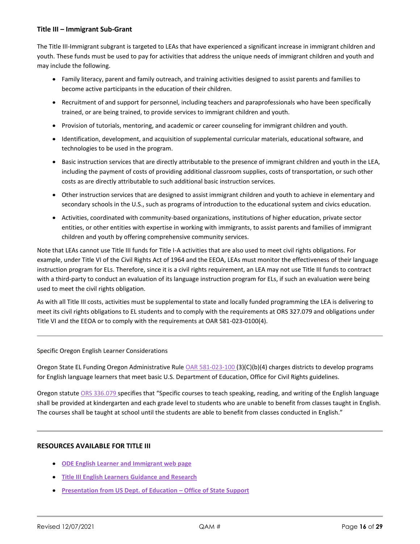#### **Title III – Immigrant Sub-Grant**

The Title III-Immigrant subgrant is targeted to LEAs that have experienced a significant increase in immigrant children and youth. These funds must be used to pay for activities that address the unique needs of immigrant children and youth and may include the following.

- Family literacy, parent and family outreach, and training activities designed to assist parents and families to become active participants in the education of their children.
- Recruitment of and support for personnel, including teachers and paraprofessionals who have been specifically trained, or are being trained, to provide services to immigrant children and youth.
- Provision of tutorials, mentoring, and academic or career counseling for immigrant children and youth.
- Identification, development, and acquisition of supplemental curricular materials, educational software, and technologies to be used in the program.
- Basic instruction services that are directly attributable to the presence of immigrant children and youth in the LEA, including the payment of costs of providing additional classroom supplies, costs of transportation, or such other costs as are directly attributable to such additional basic instruction services.
- Other instruction services that are designed to assist immigrant children and youth to achieve in elementary and secondary schools in the U.S., such as programs of introduction to the educational system and civics education.
- Activities, coordinated with community-based organizations, institutions of higher education, private sector entities, or other entities with expertise in working with immigrants, to assist parents and families of immigrant children and youth by offering comprehensive community services.

Note that LEAs cannot use Title III funds for Title I-A activities that are also used to meet civil rights obligations. For example, under Title VI of the Civil Rights Act of 1964 and the EEOA, LEAs must monitor the effectiveness of their language instruction program for ELs. Therefore, since it is a civil rights requirement, an LEA may not use Title III funds to contract with a third-party to conduct an evaluation of its language instruction program for ELs, if such an evaluation were being used to meet the civil rights obligation.

As with all Title III costs, activities must be supplemental to state and locally funded programming the LEA is delivering to meet its civil rights obligations to EL students and to comply with the requirements at ORS 327.079 and obligations under Title VI and the EEOA or to comply with the requirements at OAR 581-023-0100(4).

Specific Oregon English Learner Considerations

Oregon State EL Funding Oregon Administrative Rul[e OAR 581-023-100 \(](http://arcweb.sos.state.or.us/rules/OARS_500/OAR_581/581_023.html)3)(C)(b)(4) charges districts to develop programs for English language learners that meet basic U.S. Department of Education, Office for Civil Rights guidelines.

Oregon statute [ORS 336.079](http://www.oregonlaws.org/ors/336.079) specifies that "Specific courses to teach speaking, reading, and writing of the English language shall be provided at kindergarten and each grade level to students who are unable to benefit from classes taught in English. The courses shall be taught at school until the students are able to benefit from classes conducted in English."

#### **RESOURCES AVAILABLE FOR TITLE III**

- **[ODE English Learner and Immigrant web page](http://www.oregon.gov/ode/schools-and-districts/grants/ESEA/EL/Pages/default.aspx)**
- **[Title III English Learners Guidance and Research](http://www.oregon.gov/ode/schools-and-districts/grants/ESEA/EL/Pages/Guidance-and-Research.aspx)**
- **[Presentation from US Dept. of Education](http://www.oregon.gov/ode/schools-and-districts/grants/ESEA/EL/Documents/Title-III-ESSA-Guidance.pdf) – Office of State Support**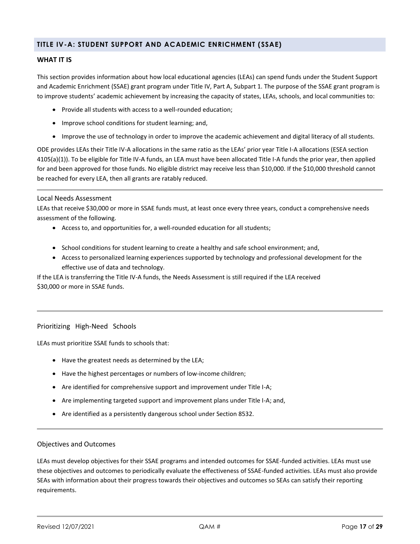#### <span id="page-16-0"></span>**TITLE IV-A: STUDENT SUPPORT AND ACADEMIC ENRICHMENT (SSAE)**

#### **WHAT IT IS**

This section provides information about how local educational agencies (LEAs) can spend funds under the Student Support and Academic Enrichment (SSAE) grant program under Title IV, Part A, Subpart 1. The purpose of the SSAE grant program is to improve students' academic achievement by increasing the capacity of states, LEAs, schools, and local communities to:

- Provide all students with access to a well-rounded education;
- Improve school conditions for student learning; and,
- Improve the use of technology in order to improve the academic achievement and digital literacy of all students.

ODE provides LEAs their Title IV-A allocations in the same ratio as the LEAs' prior year Title I-A allocations (ESEA section 4105(a)(1)). To be eligible for Title IV-A funds, an LEA must have been allocated Title I-A funds the prior year, then applied for and been approved for those funds. No eligible district may receive less than \$10,000. If the \$10,000 threshold cannot be reached for every LEA, then all grants are ratably reduced.

#### Local Needs Assessment

LEAs that receive \$30,000 or more in SSAE funds must, at least once every three years, conduct a comprehensive needs assessment of the following.

- Access to, and opportunities for, a well-rounded education for all students;
- School conditions for student learning to create a healthy and safe school environment; and,
- Access to personalized learning experiences supported by technology and professional development for the effective use of data and technology.

If the LEA is transferring the Title IV-A funds, the Needs Assessment is still required if the LEA received \$30,000 or more in SSAE funds.

#### Prioritizing High-Need Schools

LEAs must prioritize SSAE funds to schools that:

- Have the greatest needs as determined by the LEA;
- Have the highest percentages or numbers of low-income children;
- Are identified for comprehensive support and improvement under Title I-A;
- Are implementing targeted support and improvement plans under Title I-A; and,
- Are identified as a persistently dangerous school under Section 8532.

#### Objectives and Outcomes

LEAs must develop objectives for their SSAE programs and intended outcomes for SSAE-funded activities. LEAs must use these objectives and outcomes to periodically evaluate the effectiveness of SSAE-funded activities. LEAs must also provide SEAs with information about their progress towards their objectives and outcomes so SEAs can satisfy their reporting requirements.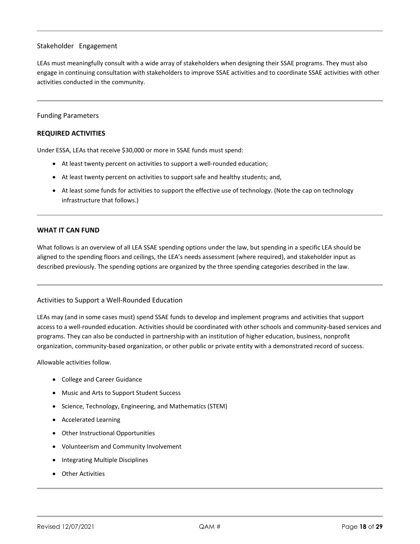#### Stakeholder Engagement

LEAs must meaningfully consult with a wide array of stakeholders when designing their SSAE programs. They must also engage in continuing consultation with stakeholders to improve SSAE activities and to coordinate SSAE activities with other activities conducted in the community.

#### Funding Parameters

#### **REQUIRED ACTIVITIES**

Under ESSA, LEAs that receive \$30,000 or more in SSAE funds must spend:

- At least twenty percent on activities to support a well-rounded education;
- At least twenty percent on activities to support safe and healthy students; and,
- At least some funds for activities to support the effective use of technology. (Note the cap on technology infrastructure that follows.)

#### **WHAT IT CAN FUND**

What follows is an overview of all LEA SSAE spending options under the law, but spending in a specific LEA should be aligned to the spending floors and ceilings, the LEA's needs assessment (where required), and stakeholder input as described previously. The spending options are organized by the three spending categories described in the law.

#### Activities to Support a Well-Rounded Education

LEAs may (and in some cases must) spend SSAE funds to develop and implement programs and activities that support access to a well-rounded education. Activities should be coordinated with other schools and community-based services and programs. They can also be conducted in partnership with an institution of higher education, business, nonprofit organization, community-based organization, or other public or private entity with a demonstrated record of success.

Allowable activities follow.

- College and Career Guidance
- Music and Arts to Support Student Success
- Science, Technology, Engineering, and Mathematics (STEM)
- Accelerated Learning
- Other Instructional Opportunities
- Volunteerism and Community Involvement
- Integrating Multiple Disciplines
- Other Activities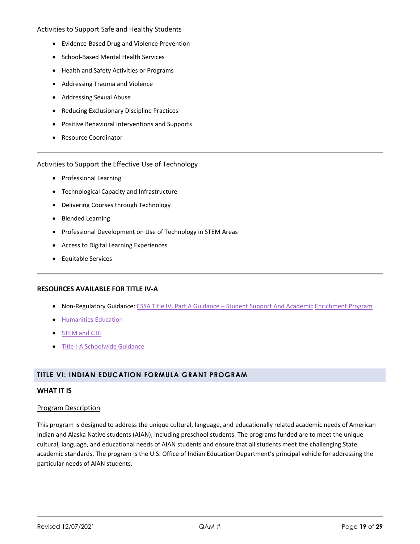#### Activities to Support Safe and Healthy Students

- Evidence-Based Drug and Violence Prevention
- School-Based Mental Health Services
- Health and Safety Activities or Programs
- Addressing Trauma and Violence
- Addressing Sexual Abuse
- Reducing Exclusionary Discipline Practices
- Positive Behavioral Interventions and Supports
- Resource Coordinator

#### Activities to Support the Effective Use of Technology

- Professional Learning
- Technological Capacity and Infrastructure
- Delivering Courses through Technology
- Blended Learning
- Professional Development on Use of Technology in STEM Areas
- Access to Digital Learning Experiences
- Equitable Services

#### **RESOURCES AVAILABLE FOR TITLE IV-A**

- Non-Regulatory Guidance: ESSA Title IV, Part A Guidance [Student Support And Academic](https://www2.ed.gov/policy/elsec/leg/essa/essassaegrantguid10212016.pdf) [Enrichment Program](https://www2.ed.gov/policy/elsec/leg/essa/essassaegrantguid10212016.pdf)
- [Humanities Education](http://www2.ed.gov/policy/elsec/guid/secletter/160713.html)
- [STEM and CTE](http://www.oregon.gov/ode/rules-and-policies/ESSA/ESSAResources/Documents/stemdearcolleagueltr.pdf)
- [Title I-A Schoolwide Guidance](http://www2.ed.gov/policy/elsec/leg/essa/essaswpguidance9192016.pdf)

#### <span id="page-18-0"></span>**TITLE VI: INDIAN EDUCATION FORMULA GRANT PROGRAM**

#### **WHAT IT IS**

#### Program Description

This program is designed to address the unique cultural, language, and educationally related academic needs of American Indian and Alaska Native students (AIAN), including preschool students. The programs funded are to meet the unique cultural, language, and educational needs of AIAN students and ensure that all students meet the challenging State academic standards. The program is the U.S. Office of Indian Education Department's principal vehicle for addressing the particular needs of AIAN students.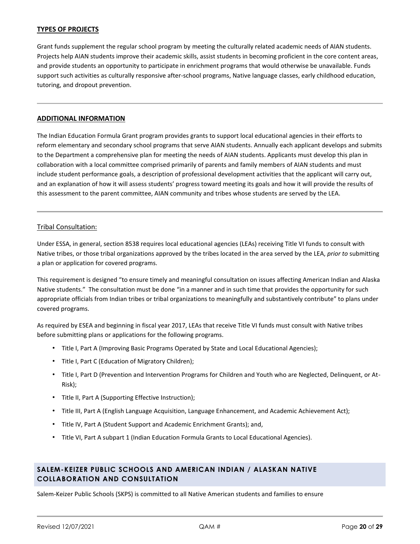#### **TYPES OF PROJECTS**

Grant funds supplement the regular school program by meeting the culturally related academic needs of AIAN students. Projects help AIAN students improve their academic skills, assist students in becoming proficient in the core content areas, and provide students an opportunity to participate in enrichment programs that would otherwise be unavailable. Funds support such activities as culturally responsive after-school programs, Native language classes, early childhood education, tutoring, and dropout prevention.

#### **ADDITIONAL INFORMATION**

The Indian Education Formula Grant program provides grants to support local educational agencies in their efforts to reform elementary and secondary school programs that serve AIAN students. Annually each applicant develops and submits to the Department a comprehensive plan for meeting the needs of AIAN students. Applicants must develop this plan in collaboration with a local committee comprised primarily of parents and family members of AIAN students and must include student performance goals, a description of professional development activities that the applicant will carry out, and an explanation of how it will assess students' progress toward meeting its goals and how it will provide the results of this assessment to the parent committee, AIAN community and tribes whose students are served by the LEA.

#### Tribal Consultation:

Under ESSA, in general, section 8538 requires local educational agencies (LEAs) receiving Title VI funds to consult with Native tribes, or those tribal organizations approved by the tribes located in the area served by the LEA, *prior to* submitting a plan or application for covered programs.

This requirement is designed "to ensure timely and meaningful consultation on issues affecting American Indian and Alaska Native students." The consultation must be done "in a manner and in such time that provides the opportunity for such appropriate officials from Indian tribes or tribal organizations to meaningfully and substantively contribute" to plans under covered programs.

As required by ESEA and beginning in fiscal year 2017, LEAs that receive Title VI funds must consult with Native tribes before submitting plans or applications for the following programs.

- Title I, Part A (Improving Basic Programs Operated by State and Local Educational Agencies);
- Title I, Part C (Education of Migratory Children);
- Title I, Part D (Prevention and Intervention Programs for Children and Youth who are Neglected, Delinquent, or At-Risk);
- Title II, Part A (Supporting Effective Instruction);
- Title III, Part A (English Language Acquisition, Language Enhancement, and Academic Achievement Act);
- Title IV, Part A (Student Support and Academic Enrichment Grants); and,
- Title VI, Part A subpart 1 (Indian Education Formula Grants to Local Educational Agencies).

#### <span id="page-19-0"></span>**SALEM-KEIZER PUBLIC SCHOOLS AND AMERICAN INDIAN / ALASKAN NATIVE COLLABORATION AND CONSULTATION**

Salem-Keizer Public Schools (SKPS) is committed to all Native American students and families to ensure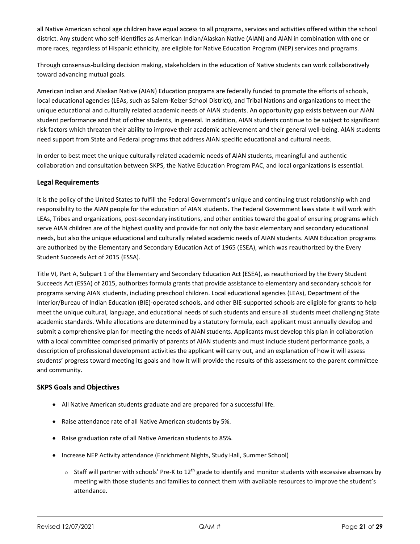all Native American school age children have equal access to all programs, services and activities offered within the school district. Any student who self-identifies as American Indian/Alaskan Native (AIAN) and AIAN in combination with one or more races, regardless of Hispanic ethnicity, are eligible for Native Education Program (NEP) services and programs.

Through consensus-building decision making, stakeholders in the education of Native students can work collaboratively toward advancing mutual goals.

American Indian and Alaskan Native (AIAN) Education programs are federally funded to promote the efforts of schools, local educational agencies (LEAs, such as Salem-Keizer School District), and Tribal Nations and organizations to meet the unique educational and culturally related academic needs of AIAN students. An opportunity gap exists between our AIAN student performance and that of other students, in general. In addition, AIAN students continue to be subject to significant risk factors which threaten their ability to improve their academic achievement and their general well-being. AIAN students need support from State and Federal programs that address AIAN specific educational and cultural needs.

In order to best meet the unique culturally related academic needs of AIAN students, meaningful and authentic collaboration and consultation between SKPS, the Native Education Program PAC, and local organizations is essential.

#### **Legal Requirements**

It is the policy of the United States to fulfill the Federal Government's unique and continuing trust relationship with and responsibility to the AIAN people for the education of AIAN students. The Federal Government laws state it will work with LEAs, Tribes and organizations, post-secondary institutions, and other entities toward the goal of ensuring programs which serve AIAN children are of the highest quality and provide for not only the basic elementary and secondary educational needs, but also the unique educational and culturally related academic needs of AIAN students. AIAN Education programs are authorized by the Elementary and Secondary Education Act of 1965 (ESEA), which was reauthorized by the Every Student Succeeds Act of 2015 (ESSA).

Title VI, Part A, Subpart 1 of the Elementary and Secondary Education Act (ESEA), as reauthorized by the Every Student Succeeds Act (ESSA) of 2015, authorizes formula grants that provide assistance to elementary and secondary schools for programs serving AIAN students, including preschool children. Local educational agencies (LEAs), Department of the Interior/Bureau of Indian Education (BIE)-operated schools, and other BIE-supported schools are eligible for grants to help meet the unique cultural, language, and educational needs of such students and ensure all students meet challenging State academic standards. While allocations are determined by a statutory formula, each applicant must annually develop and submit a comprehensive plan for meeting the needs of AIAN students. Applicants must develop this plan in collaboration with a local committee comprised primarily of parents of AIAN students and must include student performance goals, a description of professional development activities the applicant will carry out, and an explanation of how it will assess students' progress toward meeting its goals and how it will provide the results of this assessment to the parent committee and community.

#### **SKPS Goals and Objectives**

- All Native American students graduate and are prepared for a successful life.
- Raise attendance rate of all Native American students by 5%.
- Raise graduation rate of all Native American students to 85%.
- Increase NEP Activity attendance (Enrichment Nights, Study Hall, Summer School)
	- $\circ$  Staff will partner with schools' Pre-K to 12<sup>th</sup> grade to identify and monitor students with excessive absences by meeting with those students and families to connect them with available resources to improve the student's attendance.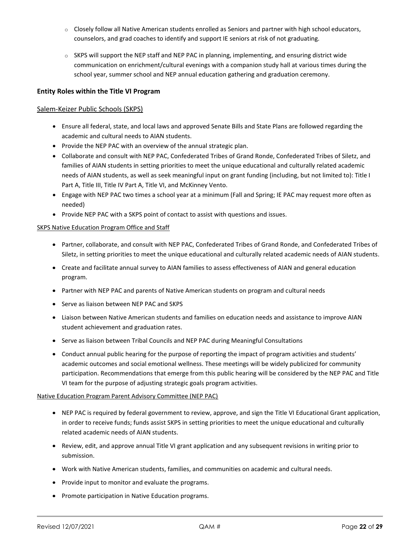- $\circ$  Closely follow all Native American students enrolled as Seniors and partner with high school educators, counselors, and grad coaches to identify and support IE seniors at risk of not graduating.
- o SKPS will support the NEP staff and NEP PAC in planning, implementing, and ensuring district wide communication on enrichment/cultural evenings with a companion study hall at various times during the school year, summer school and NEP annual education gathering and graduation ceremony.

#### **Entity Roles within the Title VI Program**

#### Salem-Keizer Public Schools (SKPS)

- Ensure all federal, state, and local laws and approved Senate Bills and State Plans are followed regarding the academic and cultural needs to AIAN students.
- Provide the NEP PAC with an overview of the annual strategic plan.
- Collaborate and consult with NEP PAC, Confederated Tribes of Grand Ronde, Confederated Tribes of Siletz, and families of AIAN students in setting priorities to meet the unique educational and culturally related academic needs of AIAN students, as well as seek meaningful input on grant funding (including, but not limited to): Title I Part A, Title III, Title IV Part A, Title VI, and McKinney Vento.
- Engage with NEP PAC two times a school year at a minimum (Fall and Spring; IE PAC may request more often as needed)
- Provide NEP PAC with a SKPS point of contact to assist with questions and issues.

#### **SKPS Native Education Program Office and Staff**

- Partner, collaborate, and consult with NEP PAC, Confederated Tribes of Grand Ronde, and Confederated Tribes of Siletz, in setting priorities to meet the unique educational and culturally related academic needs of AIAN students.
- Create and facilitate annual survey to AIAN families to assess effectiveness of AIAN and general education program.
- Partner with NEP PAC and parents of Native American students on program and cultural needs
- Serve as liaison between NEP PAC and SKPS
- Liaison between Native American students and families on education needs and assistance to improve AIAN student achievement and graduation rates.
- Serve as liaison between Tribal Councils and NEP PAC during Meaningful Consultations
- Conduct annual public hearing for the purpose of reporting the impact of program activities and students' academic outcomes and social emotional wellness. These meetings will be widely publicized for community participation. Recommendations that emerge from this public hearing will be considered by the NEP PAC and Title VI team for the purpose of adjusting strategic goals program activities.

#### Native Education Program Parent Advisory Committee (NEP PAC)

- NEP PAC is required by federal government to review, approve, and sign the Title VI Educational Grant application, in order to receive funds; funds assist SKPS in setting priorities to meet the unique educational and culturally related academic needs of AIAN students.
- Review, edit, and approve annual Title VI grant application and any subsequent revisions in writing prior to submission.
- Work with Native American students, families, and communities on academic and cultural needs.
- Provide input to monitor and evaluate the programs.
- Promote participation in Native Education programs.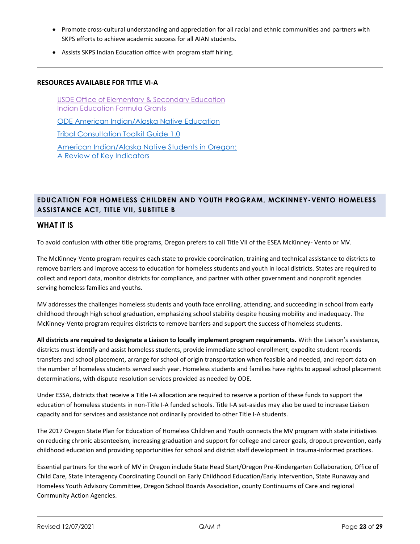- Promote cross-cultural understanding and appreciation for all racial and ethnic communities and partners with SKPS efforts to achieve academic success for all AIAN students.
- Assists SKPS Indian Education office with program staff hiring.

#### **RESOURCES AVAILABLE FOR TITLE VI-A**

[USDE Office of Elementary & Secondary Education](https://oese.ed.gov/offices/office-of-indian-education/indian-education-formula-grants/)  [Indian Education Formula Grants](https://oese.ed.gov/offices/office-of-indian-education/indian-education-formula-grants/)

[ODE American Indian/Alaska Native Education](https://www.oregon.gov/ode/students-and-family/equity/NativeAmericanEducation/Pages/default.aspx)

[Tribal Consultation Toolkit Guide 1.0](https://www.oregon.gov/ode/students-and-family/equity/NativeAmericanEducation/Documents/20.10.13_%20Web%20Accessible%20Tribal%20Consultation%20Toolkit.pdf)

[American Indian/Alaska Native Students in Oregon:](https://www.oregon.gov/ode/reports-and-data/researchbriefs/Documents/Internal/American_Indian_Alaska_Native_Students_In_Oregon.pdf)  [A Review of Key Indicators](https://www.oregon.gov/ode/reports-and-data/researchbriefs/Documents/Internal/American_Indian_Alaska_Native_Students_In_Oregon.pdf)

# <span id="page-22-0"></span>**EDUCATION FOR HOMELESS CHILDREN AND YOUTH PROGRAM, MCKINNEY-VENTO HOMELESS ASSISTANCE ACT, TITLE VII, SUBTITLE B**

#### **WHAT IT IS**

To avoid confusion with other title programs, Oregon prefers to call Title VII of the ESEA McKinney- Vento or MV.

The McKinney-Vento program requires each state to provide coordination, training and technical assistance to districts to remove barriers and improve access to education for homeless students and youth in local districts. States are required to collect and report data, monitor districts for compliance, and partner with other government and nonprofit agencies serving homeless families and youths.

MV addresses the challenges homeless students and youth face enrolling, attending, and succeeding in school from early childhood through high school graduation, emphasizing school stability despite housing mobility and inadequacy. The McKinney-Vento program requires districts to remove barriers and support the success of homeless students.

**All districts are required to designate a Liaison to locally implement program requirements.** With the Liaison's assistance, districts must identify and assist homeless students, provide immediate school enrollment, expedite student records transfers and school placement, arrange for school of origin transportation when feasible and needed, and report data on the number of homeless students served each year. Homeless students and families have rights to appeal school placement determinations, with dispute resolution services provided as needed by ODE.

Under ESSA, districts that receive a Title I-A allocation are required to reserve a portion of these funds to support the education of homeless students in non-Title I-A funded schools. Title I-A set-asides may also be used to increase Liaison capacity and for services and assistance not ordinarily provided to other Title I-A students.

The 2017 Oregon State Plan for Education of Homeless Children and Youth connects the MV program with state initiatives on reducing chronic absenteeism, increasing graduation and support for college and career goals, dropout prevention, early childhood education and providing opportunities for school and district staff development in trauma-informed practices.

Essential partners for the work of MV in Oregon include State Head Start/Oregon Pre-Kindergarten Collaboration, Office of Child Care, State Interagency Coordinating Council on Early Childhood Education/Early Intervention, State Runaway and Homeless Youth Advisory Committee, Oregon School Boards Association, county Continuums of Care and regional Community Action Agencies.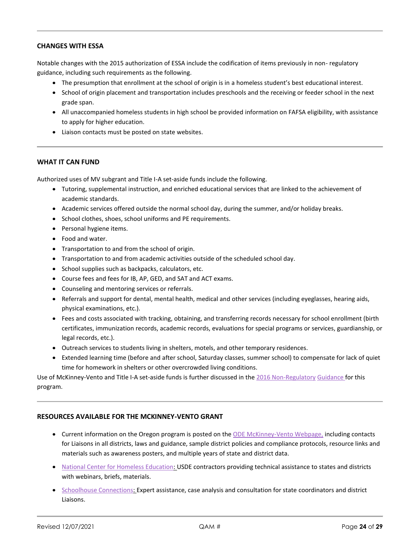#### **CHANGES WITH ESSA**

Notable changes with the 2015 authorization of ESSA include the codification of items previously in non- regulatory guidance, including such requirements as the following.

- The presumption that enrollment at the school of origin is in a homeless student's best educational interest.
- School of origin placement and transportation includes preschools and the receiving or feeder school in the next grade span.
- All unaccompanied homeless students in high school be provided information on FAFSA eligibility, with assistance to apply for higher education.
- Liaison contacts must be posted on state websites.

#### **WHAT IT CAN FUND**

Authorized uses of MV subgrant and Title I-A set-aside funds include the following.

- Tutoring, supplemental instruction, and enriched educational services that are linked to the achievement of academic standards.
- Academic services offered outside the normal school day, during the summer, and/or holiday breaks.
- School clothes, shoes, school uniforms and PE requirements.
- Personal hygiene items.
- Food and water.
- Transportation to and from the school of origin.
- Transportation to and from academic activities outside of the scheduled school day.
- School supplies such as backpacks, calculators, etc.
- Course fees and fees for IB, AP, GED, and SAT and ACT exams.
- Counseling and mentoring services or referrals.
- Referrals and support for dental, mental health, medical and other services (including eyeglasses, hearing aids, physical examinations, etc.).
- Fees and costs associated with tracking, obtaining, and transferring records necessary for school enrollment (birth certificates, immunization records, academic records, evaluations for special programs or services, guardianship, or legal records, etc.).
- Outreach services to students living in shelters, motels, and other temporary residences.
- Extended learning time (before and after school, Saturday classes, summer school) to compensate for lack of quiet time for homework in shelters or other overcrowded living conditions.

Use of McKinney-Vento and Title I-A set-aside funds is further discussed in the [2016 Non-Regulatory](http://www.oregon.gov/ode/schools-and-districts/grants/ESEA/McKinney-Vento/Documents/USDE-nonregulatory-guidance.pdf) [Guidance f](http://www.oregon.gov/ode/schools-and-districts/grants/ESEA/McKinney-Vento/Documents/USDE-nonregulatory-guidance.pdf)or this program.

#### **RESOURCES AVAILABLE FOR THE MCKINNEY-VENTO GRANT**

- Current information on the Oregon program is posted on the [ODE McKinney-Vento Webpage,](http://www.oregon.gov/ode/schools-and-districts/grants/ESEA/McKinney-Vento/Pages/default.aspx) including contacts for Liaisons in all districts, laws and guidance, sample district policies and compliance protocols, resource links and materials such as awareness posters, and multiple years of state and district data.
- [National Center for Homeless Education:](https://nche.ed.gov/ll/ll.php) USDE contractors providing technical assistance to states and districts with webinars, briefs, materials.
- [Schoolhouse Connections:](http://www.schoolhouseconnection.org/about-schoolhouse-connection/) Expert assistance, case analysis and consultation for state coordinators and district Liaisons.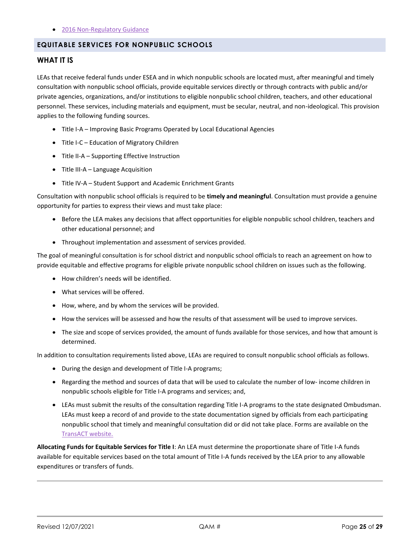#### • [2016 Non-Regulatory Guidance](http://www.oregon.gov/ode/schools-and-districts/grants/ESEA/McKinney-Vento/Documents/USDE-nonregulatory-guidance.pdf)

#### <span id="page-24-0"></span>**EQUITABLE SERVICES FOR NONPUBLIC SCHOOLS**

#### **WHAT IT IS**

LEAs that receive federal funds under ESEA and in which nonpublic schools are located must, after meaningful and timely consultation with nonpublic school officials, provide equitable services directly or through contracts with public and/or private agencies, organizations, and/or institutions to eligible nonpublic school children, teachers, and other educational personnel. These services, including materials and equipment, must be secular, neutral, and non-ideological. This provision applies to the following funding sources.

- Title I-A Improving Basic Programs Operated by Local Educational Agencies
- Title I-C Education of Migratory Children
- Title II-A Supporting Effective Instruction
- Title III-A Language Acquisition
- Title IV-A Student Support and Academic Enrichment Grants

Consultation with nonpublic school officials is required to be **timely and meaningful**. Consultation must provide a genuine opportunity for parties to express their views and must take place:

- Before the LEA makes any decisions that affect opportunities for eligible nonpublic school children, teachers and other educational personnel; and
- Throughout implementation and assessment of services provided.

The goal of meaningful consultation is for school district and nonpublic school officials to reach an agreement on how to provide equitable and effective programs for eligible private nonpublic school children on issues such as the following.

- How children's needs will be identified.
- What services will be offered.
- How, where, and by whom the services will be provided.
- How the services will be assessed and how the results of that assessment will be used to improve services.
- The size and scope of services provided, the amount of funds available for those services, and how that amount is determined.

In addition to consultation requirements listed above, LEAs are required to consult nonpublic school officials as follows.

- During the design and development of Title I-A programs;
- Regarding the method and sources of data that will be used to calculate the number of low- income children in nonpublic schools eligible for Title I-A programs and services; and,
- LEAs must submit the results of the consultation regarding Title I-A programs to the state designated Ombudsman. LEAs must keep a record of and provide to the state documentation signed by officials from each participating nonpublic school that timely and meaningful consultation did or did not take place. Forms are available on the [TransACT website.](http://www.transact.com/)

**Allocating Funds for Equitable Services for Title I**: An LEA must determine the proportionate share of Title I-A funds available for equitable services based on the total amount of Title I-A funds received by the LEA prior to any allowable expenditures or transfers of funds.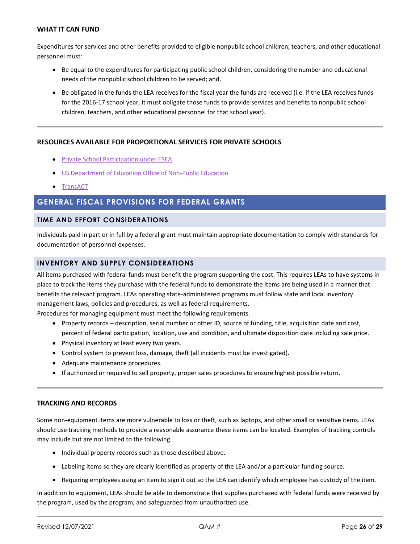#### **WHAT IT CAN FUND**

Expenditures for services and other benefits provided to eligible nonpublic school children, teachers, and other educational personnel must:

- Be equal to the expenditures for participating public school children, considering the number and educational needs of the nonpublic school children to be served; and,
- Be obligated in the funds the LEA receives for the fiscal year the funds are received (i.e. if the LEA receives funds for the 2016-17 school year, it must obligate those funds to provide services and benefits to nonpublic school children, teachers, and other educational personnel for that school year).

#### **RESOURCES AVAILABLE FOR PROPORTIONAL SERVICES FOR PRIVATE SCHOOLS**

- [Private School Participation under ESEA](http://www.oregon.gov/ode/schools-and-districts/grants/ESEA/Pages/Private-Schools.aspx)
- [US Department of Education Office of Non-Public Education](https://www2.ed.gov/about/offices/list/oii/nonpublic/index.html)
- [TransACT](http://www.transact.com/)

# <span id="page-25-0"></span>**GENERAL FISCAL PROVISIONS FOR FEDERAL GRANTS**

#### <span id="page-25-1"></span>**TIME AND EFFORT CONSIDERATIONS**

Individuals paid in part or in full by a federal grant must maintain appropriate documentation to comply with standards for documentation of personnel expenses.

#### <span id="page-25-2"></span>**INVENTORY AND SUPPLY CONSIDERATIONS**

All items purchased with federal funds must benefit the program supporting the cost. This requires LEAs to have systems in place to track the items they purchase with the federal funds to demonstrate the items are being used in a manner that benefits the relevant program. LEAs operating state-administered programs must follow state and local inventory management laws, policies and procedures, as well as federal requirements.

Procedures for managing equipment must meet the following requirements.

- Property records description, serial number or other ID, source of funding, title, acquisition date and cost, percent of federal participation, location, use and condition, and ultimate disposition date including sale price.
- Physical inventory at least every two years.
- Control system to prevent loss, damage, theft (all incidents must be investigated).
- Adequate maintenance procedures.
- If authorized or required to sell property, proper sales procedures to ensure highest possible return.

#### **TRACKING AND RECORDS**

Some non-equipment items are more vulnerable to loss or theft, such as laptops, and other small or sensitive items. LEAs should use tracking methods to provide a reasonable assurance these items can be located. Examples of tracking controls may include but are not limited to the following.

- Individual property records such as those described above.
- Labeling items so they are clearly identified as property of the LEA and/or a particular funding source.
- Requiring employees using an item to sign it out so the LEA can identify which employee has custody of the item.

In addition to equipment, LEAs should be able to demonstrate that supplies purchased with federal funds were received by the program, used by the program, and safeguarded from unauthorized use.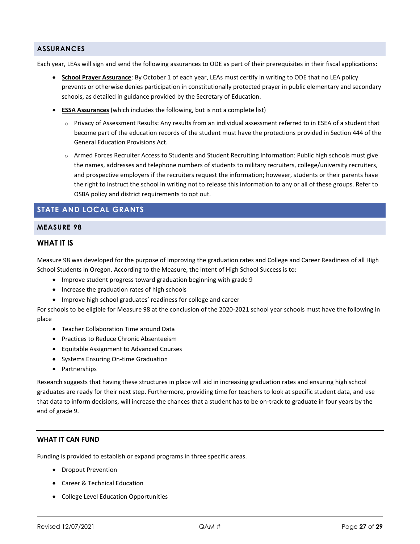#### <span id="page-26-0"></span>**ASSURANCES**

Each year, LEAs will sign and send the following assurances to ODE as part of their prerequisites in their fiscal applications:

- **School Prayer Assurance**: By October 1 of each year, LEAs must certify in writing to ODE that no LEA policy prevents or otherwise denies participation in constitutionally protected prayer in public elementary and secondary schools, as detailed in guidance provided by the Secretary of Education.
- **ESSA Assurances** (which includes the following, but is not a complete list)
	- o Privacy of Assessment Results: Any results from an individual assessment referred to in ESEA of a student that become part of the education records of the student must have the protections provided in Section 444 of the General Education Provisions Act.
	- o Armed Forces Recruiter Access to Students and Student Recruiting Information: Public high schools must give the names, addresses and telephone numbers of students to military recruiters, college/university recruiters, and prospective employers if the recruiters request the information; however, students or their parents have the right to instruct the school in writing not to release this information to any or all of these groups. Refer to OSBA policy and district requirements to opt out.

# <span id="page-26-1"></span>**STATE AND LOCAL GRANTS**

#### <span id="page-26-2"></span>**MEASURE 98**

#### **WHAT IT IS**

Measure 98 was developed for the purpose of Improving the graduation rates and College and Career Readiness of all High School Students in Oregon. According to the Measure, the intent of High School Success is to:

- Improve student progress toward graduation beginning with grade 9
- Increase the graduation rates of high schools
- Improve high school graduates' readiness for college and career

For schools to be eligible for Measure 98 at the conclusion of the 2020-2021 school year schools must have the following in place

- Teacher Collaboration Time around Data
- Practices to Reduce Chronic Absenteeism
- Equitable Assignment to Advanced Courses
- Systems Ensuring On-time Graduation
- Partnerships

Research suggests that having these structures in place will aid in increasing graduation rates and ensuring high school graduates are ready for their next step. Furthermore, providing time for teachers to look at specific student data, and use that data to inform decisions, will increase the chances that a student has to be on-track to graduate in four years by the end of grade 9.

#### **WHAT IT CAN FUND**

Funding is provided to establish or expand programs in three specific areas.

- Dropout Prevention
- Career & Technical Education
- College Level Education Opportunities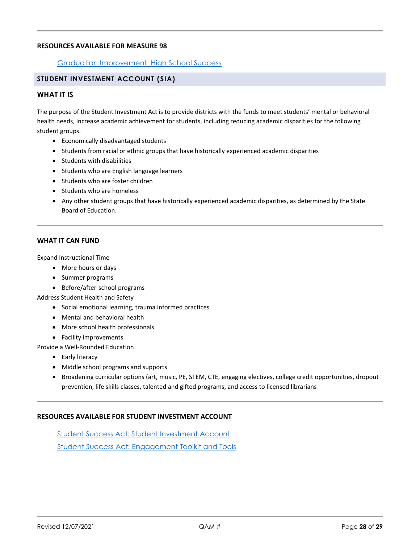#### **RESOURCES AVAILABLE FOR MEASURE 98**

#### [Graduation Improvement: High School Success](https://www.oregon.gov/ode/students-and-family/GraduationImprovement/Pages/HSS.aspx)

#### <span id="page-27-0"></span>**STUDENT INVESTMENT ACCOUNT (SIA)**

#### **WHAT IT IS**

The purpose of the Student Investment Act is to provide districts with the funds to meet students' mental or behavioral health needs, increase academic achievement for students, including reducing academic disparities for the following student groups.

- Economically disadvantaged students
- Students from racial or ethnic groups that have historically experienced academic disparities
- Students with disabilities
- Students who are English language learners
- Students who are foster children
- Students who are homeless
- Any other student groups that have historically experienced academic disparities, as determined by the State Board of Education.

#### **WHAT IT CAN FUND**

Expand Instructional Time

- More hours or days
- Summer programs
- Before/after-school programs

Address Student Health and Safety

- Social emotional learning, trauma informed practices
- Mental and behavioral health
- More school health professionals
- Facility improvements

Provide a Well-Rounded Education

- Early literacy
- Middle school programs and supports
- Broadening curricular options (art, music, PE, STEM, CTE, engaging electives, college credit opportunities, dropout prevention, life skills classes, talented and gifted programs, and access to licensed librarians

#### **RESOURCES AVAILABLE FOR STUDENT INVESTMENT ACCOUNT**

[Student Success Act: Student Investment Account](https://www.oregon.gov/ode/StudentSuccess/Documents/Student%20Success%20Act%20Student%20Investment%20Account%20Final.pdf) [Student Success Act: Engagement Toolkit and Tools](https://www.oregon.gov/ode/StudentSuccess/Pages/Engagement-Toolkit-and-Tools.aspx)